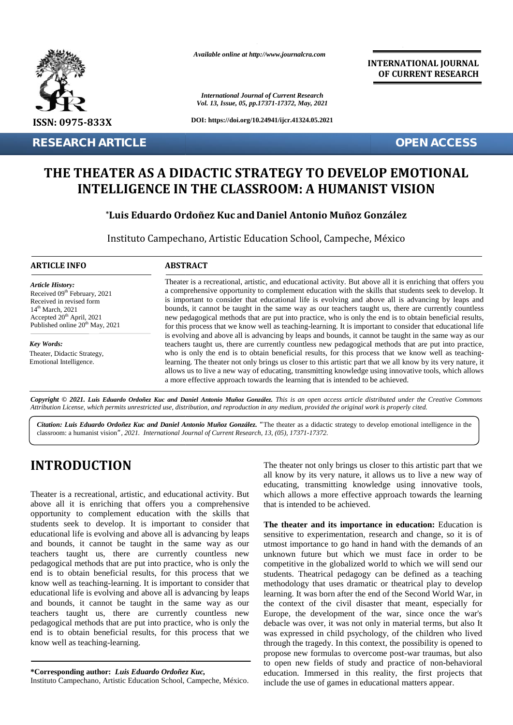

*Available online at http://www.journalcra.com*

**INTERNATIONAL JOURNAL OF CURRENT RESEARCH**

## **THE THEATER AS A DIDACTIC STRATEGY TO DEVELOP EMOTIONAL** THEATER AS A DIDACTIC STRATEGY TO DEVELOP EMOTIONAL<br>INTELLIGENCE IN THE CLASSROOM: A HUMANIST VISION

### **\*Luis Eduardo Ordoñez Kuc and Daniel Antonio Muñoz González Luis Daniel**

|                                                                                                                                                                                                                                                                                                                                                                                                                                                                                                                                                                                                                                                                                                                                                                                                                                                                                                                                                                                                                                               |                                                                                                                                                                                                                                                                                                                                                                                                                                                                                                                                                                                                                                                                                                                                                                                                                                                                                                                                                                                          | <b>International Journal of Current Research</b><br>Vol. 13, Issue, 05, pp.17371-17372, May, 2021                                                                                                                                                                                                                                                                                                                                                                                                                                                                                                                                                                                                                                                                                                                                                                                                                                                                                                                                                                                                                                                                                                                                  |
|-----------------------------------------------------------------------------------------------------------------------------------------------------------------------------------------------------------------------------------------------------------------------------------------------------------------------------------------------------------------------------------------------------------------------------------------------------------------------------------------------------------------------------------------------------------------------------------------------------------------------------------------------------------------------------------------------------------------------------------------------------------------------------------------------------------------------------------------------------------------------------------------------------------------------------------------------------------------------------------------------------------------------------------------------|------------------------------------------------------------------------------------------------------------------------------------------------------------------------------------------------------------------------------------------------------------------------------------------------------------------------------------------------------------------------------------------------------------------------------------------------------------------------------------------------------------------------------------------------------------------------------------------------------------------------------------------------------------------------------------------------------------------------------------------------------------------------------------------------------------------------------------------------------------------------------------------------------------------------------------------------------------------------------------------|------------------------------------------------------------------------------------------------------------------------------------------------------------------------------------------------------------------------------------------------------------------------------------------------------------------------------------------------------------------------------------------------------------------------------------------------------------------------------------------------------------------------------------------------------------------------------------------------------------------------------------------------------------------------------------------------------------------------------------------------------------------------------------------------------------------------------------------------------------------------------------------------------------------------------------------------------------------------------------------------------------------------------------------------------------------------------------------------------------------------------------------------------------------------------------------------------------------------------------|
| ISSN: 0975-833X                                                                                                                                                                                                                                                                                                                                                                                                                                                                                                                                                                                                                                                                                                                                                                                                                                                                                                                                                                                                                               |                                                                                                                                                                                                                                                                                                                                                                                                                                                                                                                                                                                                                                                                                                                                                                                                                                                                                                                                                                                          | DOI: https://doi.org/10.24941/ijcr.41324.05.2021                                                                                                                                                                                                                                                                                                                                                                                                                                                                                                                                                                                                                                                                                                                                                                                                                                                                                                                                                                                                                                                                                                                                                                                   |
| <b>RESEARCH ARTICLE</b>                                                                                                                                                                                                                                                                                                                                                                                                                                                                                                                                                                                                                                                                                                                                                                                                                                                                                                                                                                                                                       |                                                                                                                                                                                                                                                                                                                                                                                                                                                                                                                                                                                                                                                                                                                                                                                                                                                                                                                                                                                          | <b>OPEN ACCESS</b>                                                                                                                                                                                                                                                                                                                                                                                                                                                                                                                                                                                                                                                                                                                                                                                                                                                                                                                                                                                                                                                                                                                                                                                                                 |
|                                                                                                                                                                                                                                                                                                                                                                                                                                                                                                                                                                                                                                                                                                                                                                                                                                                                                                                                                                                                                                               |                                                                                                                                                                                                                                                                                                                                                                                                                                                                                                                                                                                                                                                                                                                                                                                                                                                                                                                                                                                          | THE THEATER AS A DIDACTIC STRATEGY TO DEVELOP EMOTIONAL<br><b>INTELLIGENCE IN THE CLASSROOM: A HUMANIST VISION</b><br>*Luis Eduardo Ordoñez Kuc and Daniel Antonio Muñoz González<br>Instituto Campechano, Artistic Education School, Campeche, México                                                                                                                                                                                                                                                                                                                                                                                                                                                                                                                                                                                                                                                                                                                                                                                                                                                                                                                                                                             |
| <b>ARTICLE INFO</b>                                                                                                                                                                                                                                                                                                                                                                                                                                                                                                                                                                                                                                                                                                                                                                                                                                                                                                                                                                                                                           | <b>ABSTRACT</b>                                                                                                                                                                                                                                                                                                                                                                                                                                                                                                                                                                                                                                                                                                                                                                                                                                                                                                                                                                          |                                                                                                                                                                                                                                                                                                                                                                                                                                                                                                                                                                                                                                                                                                                                                                                                                                                                                                                                                                                                                                                                                                                                                                                                                                    |
| <b>Article History:</b><br>Received 09 <sup>th</sup> February, 2021<br>Received in revised form<br>$14th$ March, 2021<br>Accepted 20 <sup>th</sup> April, 2021<br>Published online 20 <sup>th</sup> May, 2021<br>Key Words:                                                                                                                                                                                                                                                                                                                                                                                                                                                                                                                                                                                                                                                                                                                                                                                                                   | Theater is a recreational, artistic, and educational activity. But above all it is enriching that offers you<br>a comprehensive opportunity to complement education with the skills that students seek to develop. It<br>is important to consider that educational life is evolving and above all is advancing by leaps and<br>bounds, it cannot be taught in the same way as our teachers taught us, there are currently countless<br>new pedagogical methods that are put into practice, who is only the end is to obtain beneficial results,<br>for this process that we know well as teaching-learning. It is important to consider that educational life<br>is evolving and above all is advancing by leaps and bounds, it cannot be taught in the same way as our<br>teachers taught us, there are currently countless new pedagogical methods that are put into practice,<br>who is only the end is to obtain beneficial results, for this process that we know well as teaching- |                                                                                                                                                                                                                                                                                                                                                                                                                                                                                                                                                                                                                                                                                                                                                                                                                                                                                                                                                                                                                                                                                                                                                                                                                                    |
| Theater, Didactic Strategy,<br>Emotional Intelligence.<br>classroom: a humanist vision", 2021. International Journal of Current Research, 13, (05), 17371-17372.                                                                                                                                                                                                                                                                                                                                                                                                                                                                                                                                                                                                                                                                                                                                                                                                                                                                              |                                                                                                                                                                                                                                                                                                                                                                                                                                                                                                                                                                                                                                                                                                                                                                                                                                                                                                                                                                                          | learning. The theater not only brings us closer to this artistic part that we all know by its very nature, it<br>allows us to live a new way of educating, transmitting knowledge using innovative tools, which allows<br>a more effective approach towards the learning that is intended to be achieved.<br>Copyright © 2021. Luis Eduardo Ordoñez Kuc and Daniel Antonio Muñoz González. This is an open access article distributed under the Creative Commons<br>Attribution License, which permits unrestricted use, distribution, and reproduction in any medium, provided the original work is properly cited.<br>Citation: Luis Eduardo Ordoñez Kuc and Daniel Antonio Muñoz González. "The theater as a didactic strategy to develop emotional intelligence in the                                                                                                                                                                                                                                                                                                                                                                                                                                                         |
| <b>INTRODUCTION</b><br>Theater is a recreational, artistic, and educational activity. But<br>above all it is enriching that offers you a comprehensive<br>opportunity to complement education with the skills that<br>students seek to develop. It is important to consider that<br>educational life is evolving and above all is advancing by leaps<br>and bounds, it cannot be taught in the same way as our<br>teachers taught us, there are currently countless new<br>pedagogical methods that are put into practice, who is only the<br>end is to obtain beneficial results, for this process that we<br>know well as teaching-learning. It is important to consider that<br>educational life is evolving and above all is advancing by leaps<br>and bounds, it cannot be taught in the same way as our<br>teachers taught us, there are currently countless new<br>pedagogical methods that are put into practice, who is only the<br>end is to obtain beneficial results, for this process that we<br>know well as teaching-learning. |                                                                                                                                                                                                                                                                                                                                                                                                                                                                                                                                                                                                                                                                                                                                                                                                                                                                                                                                                                                          | The theater not only brings us closer to this artistic part that we<br>all know by its very nature, it allows us to live a new way of<br>educating, transmitting knowledge using innovative tools,<br>which allows a more effective approach towards the learning<br>that is intended to be achieved.<br>The theater and its importance in education: Education is<br>sensitive to experimentation, research and change, so it is of<br>utmost importance to go hand in hand with the demands of an<br>unknown future but which we must face in order to be<br>competitive in the globalized world to which we will send our<br>students. Theatrical pedagogy can be defined as a teaching<br>methodology that uses dramatic or theatrical play to develop<br>learning. It was born after the end of the Second World War, in<br>the context of the civil disaster that meant, especially for<br>Europe, the development of the war, since once the war's<br>debacle was over, it was not only in material terms, but also It<br>was expressed in child psychology, of the children who lived<br>through the tragedy. In this context, the possibility is opened to<br>propose new formulas to overcome post-war traumas, but also |
| *Corresponding author: Luis Eduardo Ordoñez Kuc,                                                                                                                                                                                                                                                                                                                                                                                                                                                                                                                                                                                                                                                                                                                                                                                                                                                                                                                                                                                              |                                                                                                                                                                                                                                                                                                                                                                                                                                                                                                                                                                                                                                                                                                                                                                                                                                                                                                                                                                                          | to open new fields of study and practice of non-behavioral<br>education. Immersed in this reality, the first projects that                                                                                                                                                                                                                                                                                                                                                                                                                                                                                                                                                                                                                                                                                                                                                                                                                                                                                                                                                                                                                                                                                                         |

# **INTRODUCTION INTRODUCTION**

**\*Corresponding author:** *Luis Eduardo Ordoñez Kuc,* **\*Corresponding** Instituto Campechano, Artistic Education School, Campeche, México.